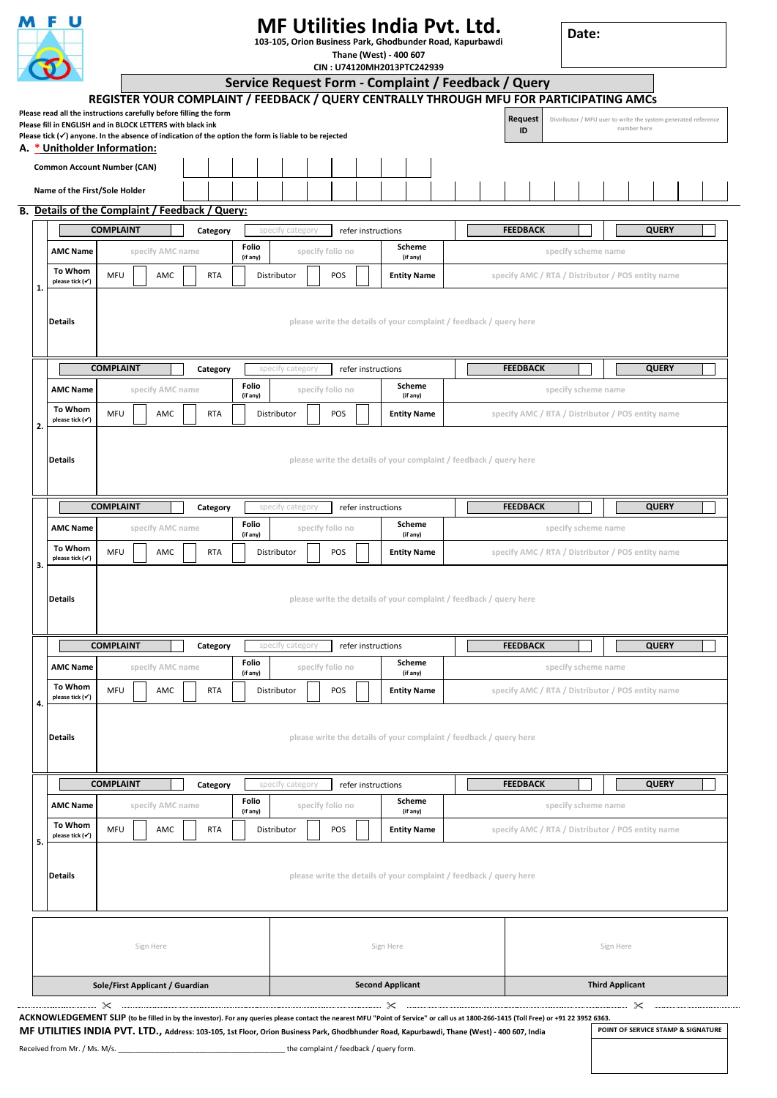|    |                                                                                                                                                                                                                                                                                                                                       | <b>MF Utilities India Pvt. Ltd.</b><br>103-105, Orion Business Park, Ghodbunder Road, Kapurbawdi<br>Thane (West) - 400 607<br>CIN: U74120MH2013PTC242939<br>Service Request Form - Complaint / Feedback / Query |                                                                                         |                                                                                               |            |                                                             |                                        |                           |                  |  |                                                   |                                |  |                     |                                                   |  |                 | Date: |                     |  |                     |             |                                                                |  |  |
|----|---------------------------------------------------------------------------------------------------------------------------------------------------------------------------------------------------------------------------------------------------------------------------------------------------------------------------------------|-----------------------------------------------------------------------------------------------------------------------------------------------------------------------------------------------------------------|-----------------------------------------------------------------------------------------|-----------------------------------------------------------------------------------------------|------------|-------------------------------------------------------------|----------------------------------------|---------------------------|------------------|--|---------------------------------------------------|--------------------------------|--|---------------------|---------------------------------------------------|--|-----------------|-------|---------------------|--|---------------------|-------------|----------------------------------------------------------------|--|--|
|    |                                                                                                                                                                                                                                                                                                                                       |                                                                                                                                                                                                                 |                                                                                         |                                                                                               |            |                                                             |                                        |                           |                  |  |                                                   |                                |  |                     |                                                   |  |                 |       |                     |  |                     |             |                                                                |  |  |
|    | Please read all the instructions carefully before filling the form<br>Please fill in ENGLISH and in BLOCK LETTERS with black ink<br>Please tick $(\checkmark)$ anyone. In the absence of indication of the option the form is liable to be rejected                                                                                   |                                                                                                                                                                                                                 | REGISTER YOUR COMPLAINT / FEEDBACK / QUERY CENTRALLY THROUGH MFU FOR PARTICIPATING AMCs |                                                                                               |            |                                                             |                                        |                           |                  |  |                                                   |                                |  |                     |                                                   |  | Request<br>ID   |       |                     |  |                     | number here | Distributor / MFU user to write the system generated reference |  |  |
|    | A. * Unitholder Information:<br><b>Common Account Number (CAN)</b>                                                                                                                                                                                                                                                                    |                                                                                                                                                                                                                 |                                                                                         |                                                                                               |            |                                                             |                                        |                           |                  |  |                                                   |                                |  |                     |                                                   |  |                 |       |                     |  |                     |             |                                                                |  |  |
|    | Name of the First/Sole Holder                                                                                                                                                                                                                                                                                                         |                                                                                                                                                                                                                 |                                                                                         |                                                                                               |            |                                                             |                                        |                           |                  |  |                                                   |                                |  |                     |                                                   |  |                 |       |                     |  |                     |             |                                                                |  |  |
|    | B. Details of the Complaint / Feedback / Query:                                                                                                                                                                                                                                                                                       |                                                                                                                                                                                                                 |                                                                                         |                                                                                               |            |                                                             |                                        |                           |                  |  |                                                   |                                |  |                     |                                                   |  |                 |       |                     |  |                     |             |                                                                |  |  |
|    |                                                                                                                                                                                                                                                                                                                                       | <b>COMPLAINT</b>                                                                                                                                                                                                |                                                                                         |                                                                                               | Category   |                                                             | specify category                       |                           |                  |  |                                                   | refer instructions             |  |                     |                                                   |  | <b>FEEDBACK</b> |       |                     |  |                     |             | <b>QUERY</b>                                                   |  |  |
|    | <b>AMC Name</b>                                                                                                                                                                                                                                                                                                                       |                                                                                                                                                                                                                 | specify AMC name                                                                        |                                                                                               |            | Folio                                                       |                                        | specify folio no          |                  |  | Scheme                                            |                                |  |                     |                                                   |  |                 |       | specify scheme name |  |                     |             |                                                                |  |  |
| 1. | To Whom<br>please tick (√)                                                                                                                                                                                                                                                                                                            | MFU<br>AMC                                                                                                                                                                                                      |                                                                                         |                                                                                               | <b>RTA</b> | (if any)                                                    | Distributor                            | POS                       |                  |  |                                                   | (if any)<br><b>Entity Name</b> |  |                     |                                                   |  |                 |       |                     |  |                     |             | specify AMC / RTA / Distributor / POS entity name              |  |  |
|    | <b>Details</b>                                                                                                                                                                                                                                                                                                                        | please write the details of your complaint / feedback / query here                                                                                                                                              |                                                                                         |                                                                                               |            |                                                             |                                        |                           |                  |  |                                                   |                                |  |                     |                                                   |  |                 |       |                     |  |                     |             |                                                                |  |  |
|    | <b>COMPLAINT</b><br>Category                                                                                                                                                                                                                                                                                                          |                                                                                                                                                                                                                 |                                                                                         |                                                                                               |            |                                                             | specify category<br>refer instructions |                           |                  |  |                                                   |                                |  |                     | <b>FEEDBACK</b><br><b>QUERY</b>                   |  |                 |       |                     |  |                     |             |                                                                |  |  |
|    | <b>AMC Name</b>                                                                                                                                                                                                                                                                                                                       |                                                                                                                                                                                                                 | specify AMC name                                                                        |                                                                                               |            | Folio<br>(if any)                                           |                                        | specify folio no          |                  |  |                                                   | Scheme<br>(if any)             |  |                     |                                                   |  |                 |       | specify scheme name |  |                     |             |                                                                |  |  |
|    | <b>To Whom</b><br>please tick (V)                                                                                                                                                                                                                                                                                                     | MFU                                                                                                                                                                                                             | AMC                                                                                     |                                                                                               | <b>RTA</b> |                                                             | Distributor                            | POS<br><b>Entity Name</b> |                  |  | specify AMC / RTA / Distributor / POS entity name |                                |  |                     |                                                   |  |                 |       |                     |  |                     |             |                                                                |  |  |
|    | <b>Details</b>                                                                                                                                                                                                                                                                                                                        | please write the details of your complaint / feedback / query here                                                                                                                                              |                                                                                         |                                                                                               |            |                                                             |                                        |                           |                  |  |                                                   |                                |  |                     |                                                   |  |                 |       |                     |  |                     |             |                                                                |  |  |
|    | <b>COMPLAINT</b><br>Category                                                                                                                                                                                                                                                                                                          |                                                                                                                                                                                                                 |                                                                                         |                                                                                               |            |                                                             | specify category                       |                           |                  |  |                                                   | refer instructions             |  |                     |                                                   |  | <b>FEEDBACK</b> |       |                     |  |                     |             | <b>QUERY</b>                                                   |  |  |
|    | <b>AMC Name</b>                                                                                                                                                                                                                                                                                                                       | specify AMC name                                                                                                                                                                                                |                                                                                         |                                                                                               |            | Folio<br>Scheme<br>specify folio no<br>(if any)<br>(if any) |                                        |                           |                  |  |                                                   |                                |  | specify scheme name |                                                   |  |                 |       |                     |  |                     |             |                                                                |  |  |
|    | To Whom<br>please tick (√)                                                                                                                                                                                                                                                                                                            | MFU                                                                                                                                                                                                             | AMC                                                                                     | Distributor<br>POS<br><b>Entity Name</b><br>specify AMC / RTA / Distributor / POS entity name |            |                                                             |                                        |                           |                  |  |                                                   |                                |  |                     |                                                   |  |                 |       |                     |  |                     |             |                                                                |  |  |
|    | Details                                                                                                                                                                                                                                                                                                                               | please write the details of your complaint / feedback / query here                                                                                                                                              |                                                                                         |                                                                                               |            |                                                             |                                        |                           |                  |  |                                                   |                                |  |                     |                                                   |  |                 |       |                     |  |                     |             |                                                                |  |  |
|    | <b>COMPLAINT</b><br>Category                                                                                                                                                                                                                                                                                                          |                                                                                                                                                                                                                 |                                                                                         |                                                                                               |            | specify category<br>refer instructions                      |                                        |                           |                  |  |                                                   |                                |  |                     | <b>FEEDBACK</b><br><b>QUERY</b>                   |  |                 |       |                     |  |                     |             |                                                                |  |  |
|    | <b>AMC Name</b>                                                                                                                                                                                                                                                                                                                       |                                                                                                                                                                                                                 | specify AMC name                                                                        |                                                                                               |            | Folio<br>(if any)                                           |                                        |                           | specify folio no |  |                                                   | Scheme<br>(if any)             |  |                     |                                                   |  |                 |       |                     |  | specify scheme name |             |                                                                |  |  |
|    | To Whom<br>please tick (v)                                                                                                                                                                                                                                                                                                            | MFU                                                                                                                                                                                                             | AMC                                                                                     |                                                                                               | <b>RTA</b> |                                                             | Distributor                            |                           | POS              |  |                                                   | <b>Entity Name</b>             |  |                     | specify AMC / RTA / Distributor / POS entity name |  |                 |       |                     |  |                     |             |                                                                |  |  |
|    | <b>Details</b>                                                                                                                                                                                                                                                                                                                        | please write the details of your complaint / feedback / query here                                                                                                                                              |                                                                                         |                                                                                               |            |                                                             |                                        |                           |                  |  |                                                   |                                |  |                     |                                                   |  |                 |       |                     |  |                     |             |                                                                |  |  |
|    | <b>COMPLAINT</b><br>Category                                                                                                                                                                                                                                                                                                          |                                                                                                                                                                                                                 |                                                                                         |                                                                                               |            |                                                             | specify category<br>refer instructions |                           |                  |  |                                                   |                                |  |                     |                                                   |  | <b>FEEDBACK</b> |       |                     |  |                     |             | <b>QUERY</b>                                                   |  |  |
|    | <b>AMC Name</b>                                                                                                                                                                                                                                                                                                                       |                                                                                                                                                                                                                 | specify AMC name                                                                        |                                                                                               |            | Folio<br>(if any)                                           |                                        |                           | specify folio no |  |                                                   | Scheme<br>(if any)             |  |                     |                                                   |  |                 |       |                     |  | specify scheme name |             |                                                                |  |  |
|    | To Whom<br>please tick (v)                                                                                                                                                                                                                                                                                                            | MFU                                                                                                                                                                                                             | AMC                                                                                     |                                                                                               | <b>RTA</b> |                                                             |                                        |                           | POS              |  |                                                   |                                |  |                     |                                                   |  |                 |       |                     |  |                     |             |                                                                |  |  |
|    | <b>Details</b>                                                                                                                                                                                                                                                                                                                        | Distributor<br><b>Entity Name</b><br>specify AMC / RTA / Distributor / POS entity name<br>please write the details of your complaint / feedback / query here                                                    |                                                                                         |                                                                                               |            |                                                             |                                        |                           |                  |  |                                                   |                                |  |                     |                                                   |  |                 |       |                     |  |                     |             |                                                                |  |  |
|    |                                                                                                                                                                                                                                                                                                                                       |                                                                                                                                                                                                                 | Sign Here                                                                               |                                                                                               |            |                                                             |                                        |                           |                  |  |                                                   | Sign Here                      |  |                     |                                                   |  |                 |       |                     |  | Sign Here           |             |                                                                |  |  |
|    |                                                                                                                                                                                                                                                                                                                                       | Sole/First Applicant / Guardian                                                                                                                                                                                 | <b>Second Applicant</b>                                                                 |                                                                                               |            |                                                             |                                        |                           |                  |  | <b>Third Applicant</b>                            |                                |  |                     |                                                   |  |                 |       |                     |  |                     |             |                                                                |  |  |
|    | ACKNOWLEDGEMENT SLIP (to be filled in by the investor). For any queries please contact the nearest MFU "Point of Service" or call us at 1800-266-1415 (Toll Free) or +91 22 3952 6363.<br>MF UTILITIES INDIA PVT. LTD., Address: 103-105, 1st Floor, Orion Business Park, Ghodbhunder Road, Kapurbawdi, Thane (West) - 400 607, India | $\mathbb{R}^2$<br>Received from Mr. / Ms. M/s.                                                                                                                                                                  |                                                                                         |                                                                                               |            |                                                             | the complaint / feedback / query form. |                           |                  |  |                                                   |                                |  |                     |                                                   |  |                 |       |                     |  |                     |             | POINT OF SERVICE STAMP & SIGNATURE                             |  |  |